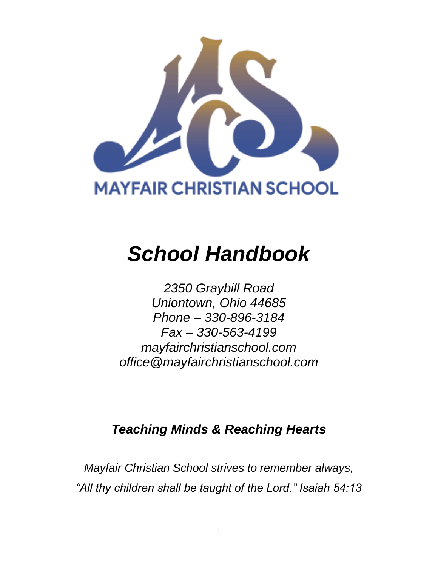

# *School Handbook*

*2350 Graybill Road Uniontown, Ohio 44685 Phone – 330-896-3184 Fax – 330-563-4199 mayfairchristianschool.com office@mayfairchristianschool.com*

## *Teaching Minds & Reaching Hearts*

*Mayfair Christian School strives to remember always, "All thy children shall be taught of the Lord." Isaiah 54:13*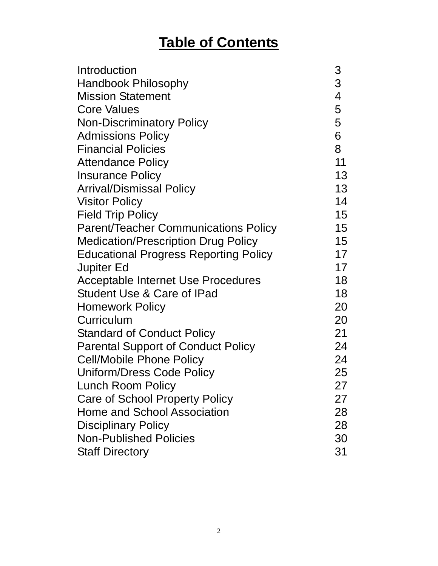# **Table of Contents**

| Introduction                                 | 3              |
|----------------------------------------------|----------------|
| <b>Handbook Philosophy</b>                   | 3              |
| <b>Mission Statement</b>                     | $\overline{4}$ |
| <b>Core Values</b>                           | 5              |
| <b>Non-Discriminatory Policy</b>             | 5              |
| <b>Admissions Policy</b>                     | 6              |
| <b>Financial Policies</b>                    | 8              |
| <b>Attendance Policy</b>                     | 11             |
| <b>Insurance Policy</b>                      | 13             |
| <b>Arrival/Dismissal Policy</b>              | 13             |
| <b>Visitor Policy</b>                        | 14             |
| <b>Field Trip Policy</b>                     | 15             |
| <b>Parent/Teacher Communications Policy</b>  | 15             |
| <b>Medication/Prescription Drug Policy</b>   | 15             |
| <b>Educational Progress Reporting Policy</b> | 17             |
| <b>Jupiter Ed</b>                            | 17             |
| Acceptable Internet Use Procedures           | 18             |
| <b>Student Use &amp; Care of IPad</b>        | 18             |
| <b>Homework Policy</b>                       | 20             |
| Curriculum                                   | 20             |
| <b>Standard of Conduct Policy</b>            | 21             |
| <b>Parental Support of Conduct Policy</b>    | 24             |
| <b>Cell/Mobile Phone Policy</b>              | 24             |
| Uniform/Dress Code Policy                    | 25             |
| <b>Lunch Room Policy</b>                     | 27             |
| Care of School Property Policy               | 27             |
| <b>Home and School Association</b>           | 28             |
| <b>Disciplinary Policy</b>                   | 28             |
| <b>Non-Published Policies</b>                | 30             |
| <b>Staff Directory</b>                       | 31             |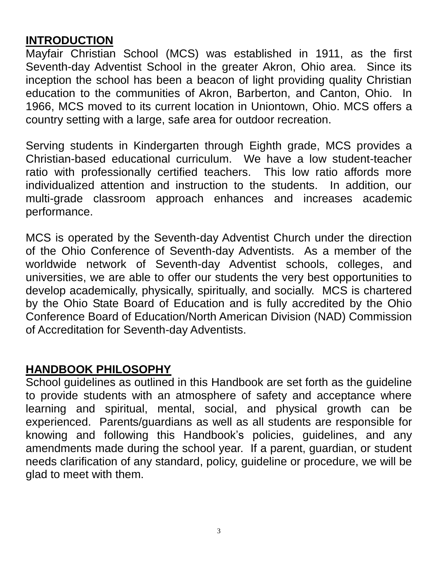## **INTRODUCTION**

Mayfair Christian School (MCS) was established in 1911, as the first Seventh-day Adventist School in the greater Akron, Ohio area. Since its inception the school has been a beacon of light providing quality Christian education to the communities of Akron, Barberton, and Canton, Ohio. In 1966, MCS moved to its current location in Uniontown, Ohio. MCS offers a country setting with a large, safe area for outdoor recreation.

Serving students in Kindergarten through Eighth grade, MCS provides a Christian-based educational curriculum. We have a low student-teacher ratio with professionally certified teachers. This low ratio affords more individualized attention and instruction to the students. In addition, our multi-grade classroom approach enhances and increases academic performance.

MCS is operated by the Seventh-day Adventist Church under the direction of the Ohio Conference of Seventh-day Adventists. As a member of the worldwide network of Seventh-day Adventist schools, colleges, and universities, we are able to offer our students the very best opportunities to develop academically, physically, spiritually, and socially. MCS is chartered by the Ohio State Board of Education and is fully accredited by the Ohio Conference Board of Education/North American Division (NAD) Commission of Accreditation for Seventh-day Adventists.

#### **HANDBOOK PHILOSOPHY**

School guidelines as outlined in this Handbook are set forth as the guideline to provide students with an atmosphere of safety and acceptance where learning and spiritual, mental, social, and physical growth can be experienced. Parents/guardians as well as all students are responsible for knowing and following this Handbook's policies, guidelines, and any amendments made during the school year. If a parent, guardian, or student needs clarification of any standard, policy, guideline or procedure, we will be glad to meet with them.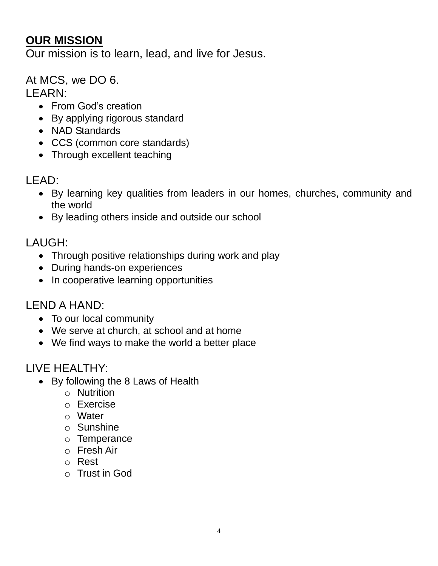#### **OUR MISSION**

Our mission is to learn, lead, and live for Jesus.

At MCS, we DO 6.

LEARN:

- From God's creation
- By applying rigorous standard
- NAD Standards
- CCS (common core standards)
- Through excellent teaching

LEAD:

- By learning key qualities from leaders in our homes, churches, community and the world
- By leading others inside and outside our school

LAUGH:

- Through positive relationships during work and play
- During hands-on experiences
- In cooperative learning opportunities

#### LEND A HAND:

- To our local community
- We serve at church, at school and at home
- We find ways to make the world a better place

## LIVE HEALTHY:

- By following the 8 Laws of Health
	- o Nutrition
	- o Exercise
	- o Water
	- o Sunshine
	- o Temperance
	- o Fresh Air
	- o Rest
	- o Trust in God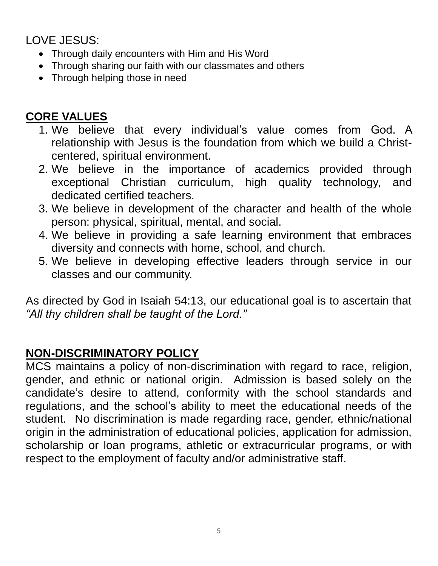LOVE JESUS:

- Through daily encounters with Him and His Word
- Through sharing our faith with our classmates and others
- Through helping those in need

## **CORE VALUES**

- 1. We believe that every individual's value comes from God. A relationship with Jesus is the foundation from which we build a Christcentered, spiritual environment.
- 2. We believe in the importance of academics provided through exceptional Christian curriculum, high quality technology, and dedicated certified teachers.
- 3. We believe in development of the character and health of the whole person: physical, spiritual, mental, and social.
- 4. We believe in providing a safe learning environment that embraces diversity and connects with home, school, and church.
- 5. We believe in developing effective leaders through service in our classes and our community.

As directed by God in Isaiah 54:13, our educational goal is to ascertain that *"All thy children shall be taught of the Lord."*

## **NON-DISCRIMINATORY POLICY**

MCS maintains a policy of non-discrimination with regard to race, religion, gender, and ethnic or national origin. Admission is based solely on the candidate's desire to attend, conformity with the school standards and regulations, and the school's ability to meet the educational needs of the student. No discrimination is made regarding race, gender, ethnic/national origin in the administration of educational policies, application for admission, scholarship or loan programs, athletic or extracurricular programs, or with respect to the employment of faculty and/or administrative staff.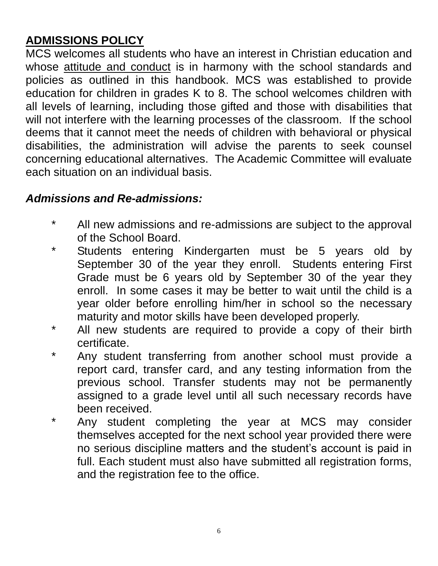## **ADMISSIONS POLICY**

MCS welcomes all students who have an interest in Christian education and whose attitude and conduct is in harmony with the school standards and policies as outlined in this handbook. MCS was established to provide education for children in grades K to 8. The school welcomes children with all levels of learning, including those gifted and those with disabilities that will not interfere with the learning processes of the classroom. If the school deems that it cannot meet the needs of children with behavioral or physical disabilities, the administration will advise the parents to seek counsel concerning educational alternatives. The Academic Committee will evaluate each situation on an individual basis.

## *Admissions and Re-admissions:*

- \* All new admissions and re-admissions are subject to the approval of the School Board.
- \* Students entering Kindergarten must be 5 years old by September 30 of the year they enroll. Students entering First Grade must be 6 years old by September 30 of the year they enroll. In some cases it may be better to wait until the child is a year older before enrolling him/her in school so the necessary maturity and motor skills have been developed properly.
- \* All new students are required to provide a copy of their birth certificate.
- \* Any student transferring from another school must provide a report card, transfer card, and any testing information from the previous school. Transfer students may not be permanently assigned to a grade level until all such necessary records have been received.
- \* Any student completing the year at MCS may consider themselves accepted for the next school year provided there were no serious discipline matters and the student's account is paid in full. Each student must also have submitted all registration forms, and the registration fee to the office.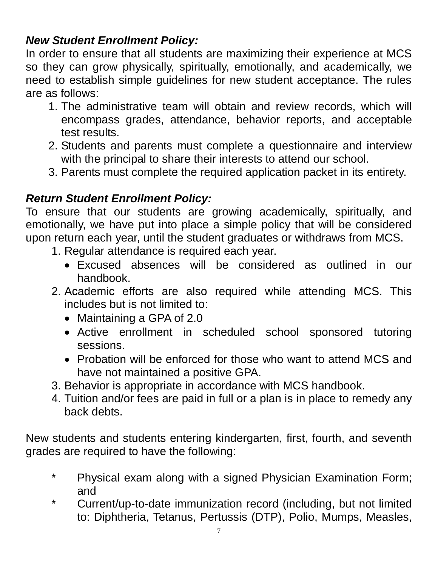## *New Student Enrollment Policy:*

In order to ensure that all students are maximizing their experience at MCS so they can grow physically, spiritually, emotionally, and academically, we need to establish simple guidelines for new student acceptance. The rules are as follows:

- 1. The administrative team will obtain and review records, which will encompass grades, attendance, behavior reports, and acceptable test results.
- 2. Students and parents must complete a questionnaire and interview with the principal to share their interests to attend our school.
- 3. Parents must complete the required application packet in its entirety.

## *Return Student Enrollment Policy:*

To ensure that our students are growing academically, spiritually, and emotionally, we have put into place a simple policy that will be considered upon return each year, until the student graduates or withdraws from MCS.

- 1. Regular attendance is required each year.
	- Excused absences will be considered as outlined in our handbook.
- 2. Academic efforts are also required while attending MCS. This includes but is not limited to:
	- Maintaining a GPA of 2.0
	- Active enrollment in scheduled school sponsored tutoring sessions.
	- Probation will be enforced for those who want to attend MCS and have not maintained a positive GPA.
- 3. Behavior is appropriate in accordance with MCS handbook.
- 4. Tuition and/or fees are paid in full or a plan is in place to remedy any back debts.

New students and students entering kindergarten, first, fourth, and seventh grades are required to have the following:

- \* Physical exam along with a signed Physician Examination Form; and
- \* Current/up-to-date immunization record (including, but not limited to: Diphtheria, Tetanus, Pertussis (DTP), Polio, Mumps, Measles,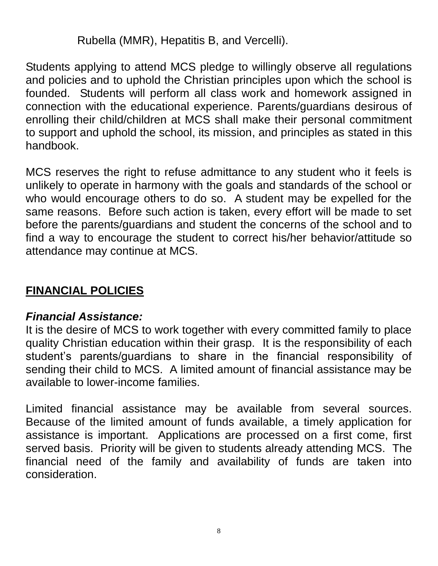Rubella (MMR), Hepatitis B, and Vercelli).

Students applying to attend MCS pledge to willingly observe all regulations and policies and to uphold the Christian principles upon which the school is founded. Students will perform all class work and homework assigned in connection with the educational experience. Parents/guardians desirous of enrolling their child/children at MCS shall make their personal commitment to support and uphold the school, its mission, and principles as stated in this handbook.

MCS reserves the right to refuse admittance to any student who it feels is unlikely to operate in harmony with the goals and standards of the school or who would encourage others to do so. A student may be expelled for the same reasons. Before such action is taken, every effort will be made to set before the parents/guardians and student the concerns of the school and to find a way to encourage the student to correct his/her behavior/attitude so attendance may continue at MCS.

## **FINANCIAL POLICIES**

#### *Financial Assistance:*

It is the desire of MCS to work together with every committed family to place quality Christian education within their grasp. It is the responsibility of each student's parents/guardians to share in the financial responsibility of sending their child to MCS. A limited amount of financial assistance may be available to lower-income families.

Limited financial assistance may be available from several sources. Because of the limited amount of funds available, a timely application for assistance is important. Applications are processed on a first come, first served basis. Priority will be given to students already attending MCS. The financial need of the family and availability of funds are taken into consideration.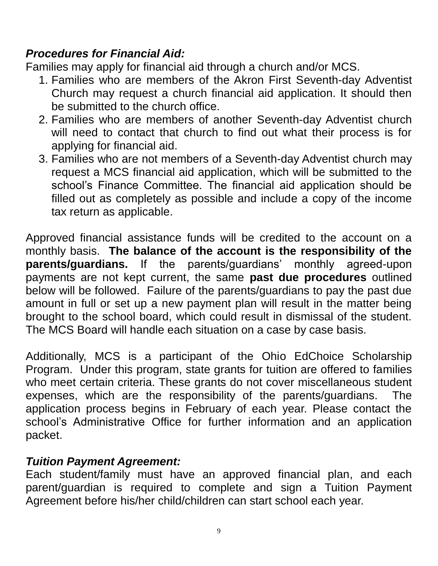#### *Procedures for Financial Aid:*

Families may apply for financial aid through a church and/or MCS.

- 1. Families who are members of the Akron First Seventh-day Adventist Church may request a church financial aid application. It should then be submitted to the church office.
- 2. Families who are members of another Seventh-day Adventist church will need to contact that church to find out what their process is for applying for financial aid.
- 3. Families who are not members of a Seventh-day Adventist church may request a MCS financial aid application, which will be submitted to the school's Finance Committee. The financial aid application should be filled out as completely as possible and include a copy of the income tax return as applicable.

Approved financial assistance funds will be credited to the account on a monthly basis. **The balance of the account is the responsibility of the parents/guardians.** If the parents/guardians' monthly agreed-upon payments are not kept current, the same **past due procedures** outlined below will be followed. Failure of the parents/guardians to pay the past due amount in full or set up a new payment plan will result in the matter being brought to the school board, which could result in dismissal of the student. The MCS Board will handle each situation on a case by case basis.

Additionally, MCS is a participant of the Ohio EdChoice Scholarship Program. Under this program, state grants for tuition are offered to families who meet certain criteria. These grants do not cover miscellaneous student expenses, which are the responsibility of the parents/guardians. The application process begins in February of each year. Please contact the school's Administrative Office for further information and an application packet.

#### *Tuition Payment Agreement:*

Each student/family must have an approved financial plan, and each parent/guardian is required to complete and sign a Tuition Payment Agreement before his/her child/children can start school each year.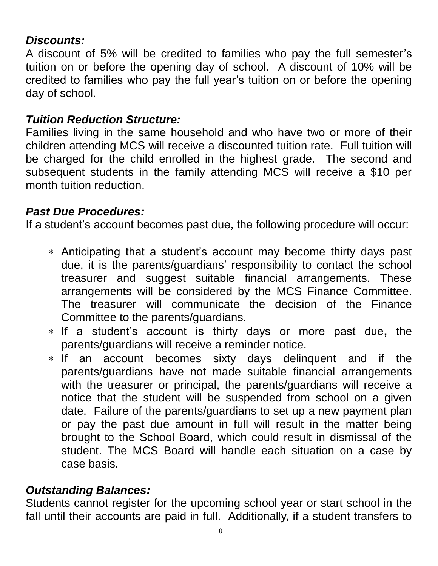#### *Discounts:*

A discount of 5% will be credited to families who pay the full semester's tuition on or before the opening day of school. A discount of 10% will be credited to families who pay the full year's tuition on or before the opening day of school.

#### *Tuition Reduction Structure:*

Families living in the same household and who have two or more of their children attending MCS will receive a discounted tuition rate. Full tuition will be charged for the child enrolled in the highest grade. The second and subsequent students in the family attending MCS will receive a \$10 per month tuition reduction.

## *Past Due Procedures:*

If a student's account becomes past due, the following procedure will occur:

- Anticipating that a student's account may become thirty days past due, it is the parents/guardians' responsibility to contact the school treasurer and suggest suitable financial arrangements. These arrangements will be considered by the MCS Finance Committee. The treasurer will communicate the decision of the Finance Committee to the parents/guardians.
- If a student's account is thirty days or more past due**,** the parents/guardians will receive a reminder notice.
- If an account becomes sixty days delinquent and if the parents/guardians have not made suitable financial arrangements with the treasurer or principal, the parents/guardians will receive a notice that the student will be suspended from school on a given date. Failure of the parents/guardians to set up a new payment plan or pay the past due amount in full will result in the matter being brought to the School Board, which could result in dismissal of the student. The MCS Board will handle each situation on a case by case basis.

## *Outstanding Balances:*

Students cannot register for the upcoming school year or start school in the fall until their accounts are paid in full. Additionally, if a student transfers to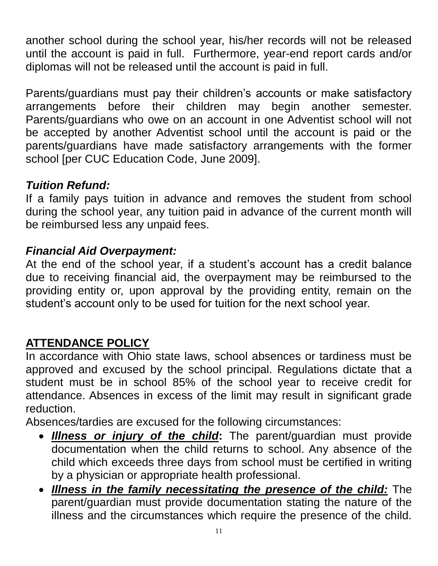another school during the school year, his/her records will not be released until the account is paid in full. Furthermore, year-end report cards and/or diplomas will not be released until the account is paid in full.

Parents/guardians must pay their children's accounts or make satisfactory arrangements before their children may begin another semester. Parents/guardians who owe on an account in one Adventist school will not be accepted by another Adventist school until the account is paid or the parents/guardians have made satisfactory arrangements with the former school [per CUC Education Code, June 2009].

## *Tuition Refund:*

If a family pays tuition in advance and removes the student from school during the school year, any tuition paid in advance of the current month will be reimbursed less any unpaid fees.

#### *Financial Aid Overpayment:*

At the end of the school year, if a student's account has a credit balance due to receiving financial aid, the overpayment may be reimbursed to the providing entity or, upon approval by the providing entity, remain on the student's account only to be used for tuition for the next school year.

## **ATTENDANCE POLICY**

In accordance with Ohio state laws, school absences or tardiness must be approved and excused by the school principal. Regulations dictate that a student must be in school 85% of the school year to receive credit for attendance. Absences in excess of the limit may result in significant grade reduction.

Absences/tardies are excused for the following circumstances:

- *Illness or injury of the child***:** The parent/guardian must provide documentation when the child returns to school. Any absence of the child which exceeds three days from school must be certified in writing by a physician or appropriate health professional.
- *Illness in the family necessitating the presence of the child:* The parent/guardian must provide documentation stating the nature of the illness and the circumstances which require the presence of the child.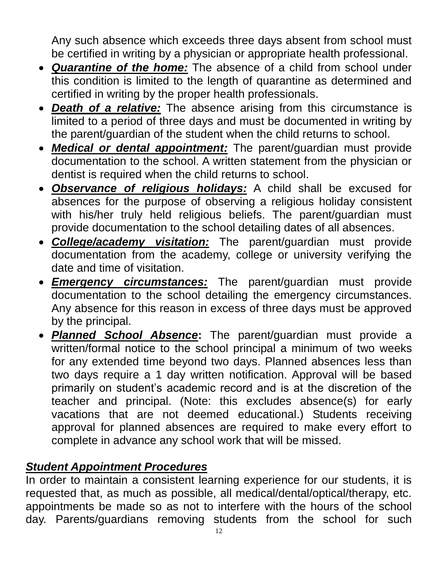Any such absence which exceeds three days absent from school must be certified in writing by a physician or appropriate health professional.

- *Quarantine of the home:* The absence of a child from school under this condition is limited to the length of quarantine as determined and certified in writing by the proper health professionals.
- *Death of a relative:* The absence arising from this circumstance is limited to a period of three days and must be documented in writing by the parent/guardian of the student when the child returns to school.
- *Medical or dental appointment:* The parent/guardian must provide documentation to the school. A written statement from the physician or dentist is required when the child returns to school.
- *Observance of religious holidays:* A child shall be excused for absences for the purpose of observing a religious holiday consistent with his/her truly held religious beliefs. The parent/guardian must provide documentation to the school detailing dates of all absences.
- *College/academy visitation:* The parent/guardian must provide documentation from the academy, college or university verifying the date and time of visitation.
- *Emergency circumstances:* The parent/guardian must provide documentation to the school detailing the emergency circumstances. Any absence for this reason in excess of three days must be approved by the principal.
- *Planned School Absence***:** The parent/guardian must provide a written/formal notice to the school principal a minimum of two weeks for any extended time beyond two days. Planned absences less than two days require a 1 day written notification. Approval will be based primarily on student's academic record and is at the discretion of the teacher and principal. (Note: this excludes absence(s) for early vacations that are not deemed educational.) Students receiving approval for planned absences are required to make every effort to complete in advance any school work that will be missed.

## *Student Appointment Procedures*

In order to maintain a consistent learning experience for our students, it is requested that, as much as possible, all medical/dental/optical/therapy, etc. appointments be made so as not to interfere with the hours of the school day. Parents/guardians removing students from the school for such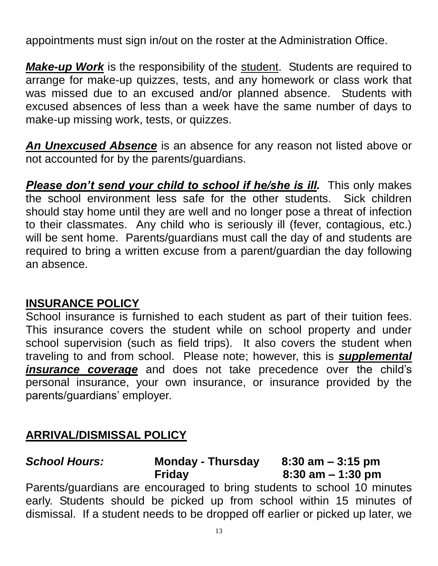appointments must sign in/out on the roster at the Administration Office.

*Make-up Work* is the responsibility of the student. Students are required to arrange for make-up quizzes, tests, and any homework or class work that was missed due to an excused and/or planned absence. Students with excused absences of less than a week have the same number of days to make-up missing work, tests, or quizzes.

*An Unexcused Absence* is an absence for any reason not listed above or not accounted for by the parents/guardians.

**Please don't send your child to school if he/she is ill.** This only makes the school environment less safe for the other students. Sick children should stay home until they are well and no longer pose a threat of infection to their classmates. Any child who is seriously ill (fever, contagious, etc.) will be sent home. Parents/guardians must call the day of and students are required to bring a written excuse from a parent/guardian the day following an absence.

#### **INSURANCE POLICY**

School insurance is furnished to each student as part of their tuition fees. This insurance covers the student while on school property and under school supervision (such as field trips). It also covers the student when traveling to and from school. Please note; however, this is *supplemental insurance coverage* and does not take precedence over the child's personal insurance, your own insurance, or insurance provided by the parents/guardians' employer.

#### **ARRIVAL/DISMISSAL POLICY**

*School Hours:* **Monday - Thursday 8:30 am – 3:15 pm Friday 8:30 am – 1:30 pm** Parents/guardians are encouraged to bring students to school 10 minutes early. Students should be picked up from school within 15 minutes of

dismissal. If a student needs to be dropped off earlier or picked up later, we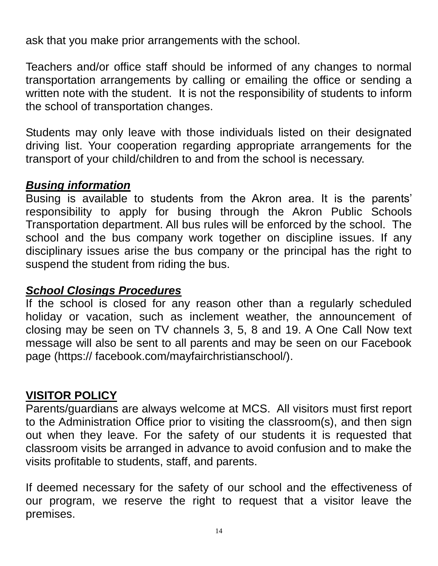ask that you make prior arrangements with the school.

Teachers and/or office staff should be informed of any changes to normal transportation arrangements by calling or emailing the office or sending a written note with the student. It is not the responsibility of students to inform the school of transportation changes.

Students may only leave with those individuals listed on their designated driving list. Your cooperation regarding appropriate arrangements for the transport of your child/children to and from the school is necessary.

#### *Busing information*

Busing is available to students from the Akron area. It is the parents' responsibility to apply for busing through the Akron Public Schools Transportation department. All bus rules will be enforced by the school. The school and the bus company work together on discipline issues. If any disciplinary issues arise the bus company or the principal has the right to suspend the student from riding the bus.

#### *School Closings Procedures*

If the school is closed for any reason other than a regularly scheduled holiday or vacation, such as inclement weather, the announcement of closing may be seen on TV channels 3, 5, 8 and 19. A One Call Now text message will also be sent to all parents and may be seen on our Facebook page (https:// facebook.com/mayfairchristianschool/).

## **VISITOR POLICY**

Parents/guardians are always welcome at MCS. All visitors must first report to the Administration Office prior to visiting the classroom(s), and then sign out when they leave. For the safety of our students it is requested that classroom visits be arranged in advance to avoid confusion and to make the visits profitable to students, staff, and parents.

If deemed necessary for the safety of our school and the effectiveness of our program, we reserve the right to request that a visitor leave the premises.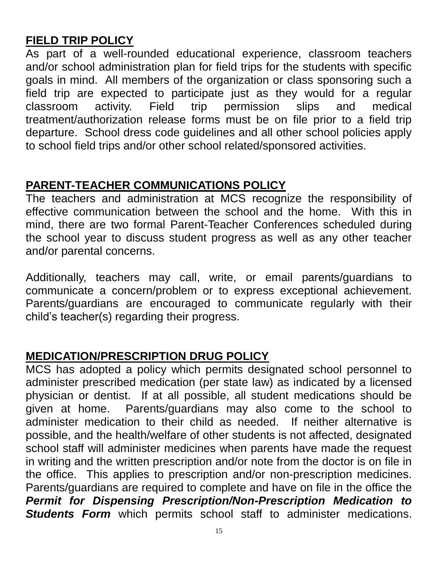## **FIELD TRIP POLICY**

As part of a well-rounded educational experience, classroom teachers and/or school administration plan for field trips for the students with specific goals in mind. All members of the organization or class sponsoring such a field trip are expected to participate just as they would for a regular classroom activity. Field trip permission slips and medical treatment/authorization release forms must be on file prior to a field trip departure. School dress code guidelines and all other school policies apply to school field trips and/or other school related/sponsored activities.

#### **PARENT-TEACHER COMMUNICATIONS POLICY**

The teachers and administration at MCS recognize the responsibility of effective communication between the school and the home. With this in mind, there are two formal Parent-Teacher Conferences scheduled during the school year to discuss student progress as well as any other teacher and/or parental concerns.

Additionally, teachers may call, write, or email parents/guardians to communicate a concern/problem or to express exceptional achievement. Parents/guardians are encouraged to communicate regularly with their child's teacher(s) regarding their progress.

## **MEDICATION/PRESCRIPTION DRUG POLICY**

MCS has adopted a policy which permits designated school personnel to administer prescribed medication (per state law) as indicated by a licensed physician or dentist. If at all possible, all student medications should be given at home. Parents/guardians may also come to the school to administer medication to their child as needed. If neither alternative is possible, and the health/welfare of other students is not affected, designated school staff will administer medicines when parents have made the request in writing and the written prescription and/or note from the doctor is on file in the office. This applies to prescription and/or non-prescription medicines. Parents/guardians are required to complete and have on file in the office the *Permit for Dispensing Prescription/Non-Prescription Medication to*  **Students Form** which permits school staff to administer medications.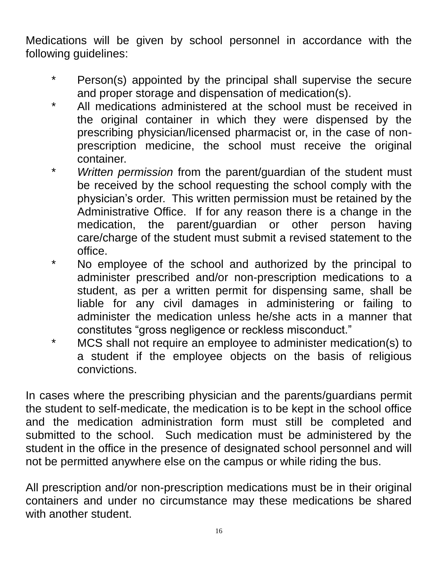Medications will be given by school personnel in accordance with the following guidelines:

- \* Person(s) appointed by the principal shall supervise the secure and proper storage and dispensation of medication(s).
- \* All medications administered at the school must be received in the original container in which they were dispensed by the prescribing physician/licensed pharmacist or, in the case of nonprescription medicine, the school must receive the original container.
- \* *Written permission* from the parent/guardian of the student must be received by the school requesting the school comply with the physician's order. This written permission must be retained by the Administrative Office. If for any reason there is a change in the medication, the parent/guardian or other person having care/charge of the student must submit a revised statement to the office.
- \* No employee of the school and authorized by the principal to administer prescribed and/or non-prescription medications to a student, as per a written permit for dispensing same, shall be liable for any civil damages in administering or failing to administer the medication unless he/she acts in a manner that constitutes "gross negligence or reckless misconduct."
- \* MCS shall not require an employee to administer medication(s) to a student if the employee objects on the basis of religious convictions.

In cases where the prescribing physician and the parents/guardians permit the student to self-medicate, the medication is to be kept in the school office and the medication administration form must still be completed and submitted to the school. Such medication must be administered by the student in the office in the presence of designated school personnel and will not be permitted anywhere else on the campus or while riding the bus.

All prescription and/or non-prescription medications must be in their original containers and under no circumstance may these medications be shared with another student.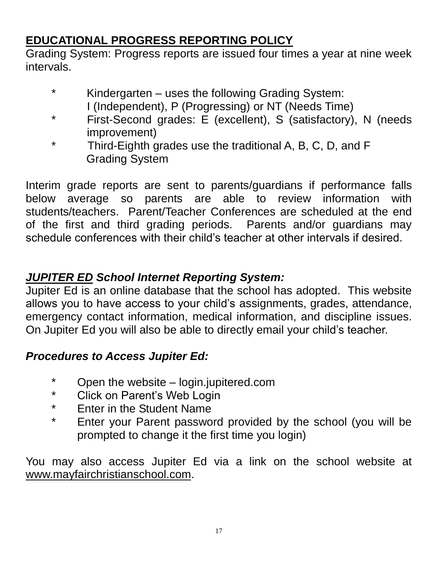## **EDUCATIONAL PROGRESS REPORTING POLICY**

Grading System: Progress reports are issued four times a year at nine week intervals.

- \* Kindergarten uses the following Grading System:
	- I (Independent), P (Progressing) or NT (Needs Time)
- \* First-Second grades: E (excellent), S (satisfactory), N (needs improvement)
- \* Third-Eighth grades use the traditional A, B, C, D, and F Grading System

Interim grade reports are sent to parents/guardians if performance falls below average so parents are able to review information with students/teachers. Parent/Teacher Conferences are scheduled at the end of the first and third grading periods. Parents and/or guardians may schedule conferences with their child's teacher at other intervals if desired.

#### *JUPITER ED School Internet Reporting System:*

Jupiter Ed is an online database that the school has adopted. This website allows you to have access to your child's assignments, grades, attendance, emergency contact information, medical information, and discipline issues. On Jupiter Ed you will also be able to directly email your child's teacher.

## *Procedures to Access Jupiter Ed:*

- \* Open the website login.jupitered.com
- \* Click on Parent's Web Login
- \* Enter in the Student Name
- \* Enter your Parent password provided by the school (you will be prompted to change it the first time you login)

You may also access Jupiter Ed via a link on the school website at www.mayfairchristianschool.com.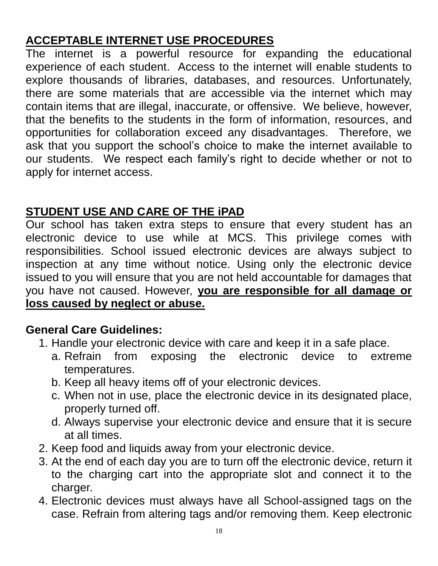## **ACCEPTABLE INTERNET USE PROCEDURES**

The internet is a powerful resource for expanding the educational experience of each student. Access to the internet will enable students to explore thousands of libraries, databases, and resources. Unfortunately, there are some materials that are accessible via the internet which may contain items that are illegal, inaccurate, or offensive. We believe, however, that the benefits to the students in the form of information, resources, and opportunities for collaboration exceed any disadvantages. Therefore, we ask that you support the school's choice to make the internet available to our students. We respect each family's right to decide whether or not to apply for internet access.

## **STUDENT USE AND CARE OF THE iPAD**

Our school has taken extra steps to ensure that every student has an electronic device to use while at MCS. This privilege comes with responsibilities. School issued electronic devices are always subject to inspection at any time without notice. Using only the electronic device issued to you will ensure that you are not held accountable for damages that you have not caused. However, **you are responsible for all damage or loss caused by neglect or abuse.**

## **General Care Guidelines:**

- 1. Handle your electronic device with care and keep it in a safe place.
	- a. Refrain from exposing the electronic device to extreme temperatures.
	- b. Keep all heavy items off of your electronic devices.
	- c. When not in use, place the electronic device in its designated place, properly turned off.
	- d. Always supervise your electronic device and ensure that it is secure at all times.
- 2. Keep food and liquids away from your electronic device.
- 3. At the end of each day you are to turn off the electronic device, return it to the charging cart into the appropriate slot and connect it to the charger.
- 4. Electronic devices must always have all School-assigned tags on the case. Refrain from altering tags and/or removing them. Keep electronic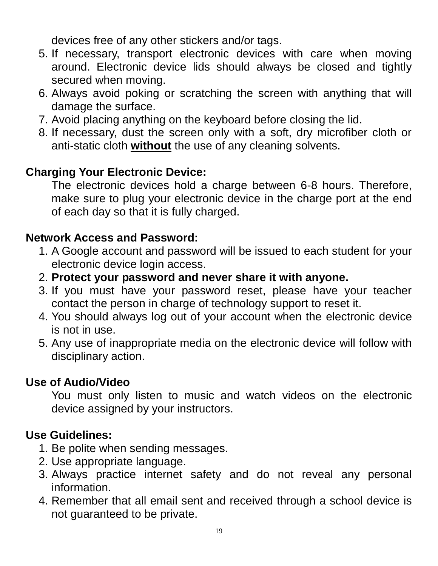devices free of any other stickers and/or tags.

- 5. If necessary, transport electronic devices with care when moving around. Electronic device lids should always be closed and tightly secured when moving.
- 6. Always avoid poking or scratching the screen with anything that will damage the surface.
- 7. Avoid placing anything on the keyboard before closing the lid.
- 8. If necessary, dust the screen only with a soft, dry microfiber cloth or anti-static cloth **without** the use of any cleaning solvents.

## **Charging Your Electronic Device:**

The electronic devices hold a charge between 6-8 hours. Therefore, make sure to plug your electronic device in the charge port at the end of each day so that it is fully charged.

#### **Network Access and Password:**

- 1. A Google account and password will be issued to each student for your electronic device login access.
- 2. **Protect your password and never share it with anyone.**
- 3. If you must have your password reset, please have your teacher contact the person in charge of technology support to reset it.
- 4. You should always log out of your account when the electronic device is not in use.
- 5. Any use of inappropriate media on the electronic device will follow with disciplinary action.

## **Use of Audio/Video**

You must only listen to music and watch videos on the electronic device assigned by your instructors.

## **Use Guidelines:**

- 1. Be polite when sending messages.
- 2. Use appropriate language.
- 3. Always practice internet safety and do not reveal any personal information.
- 4. Remember that all email sent and received through a school device is not guaranteed to be private.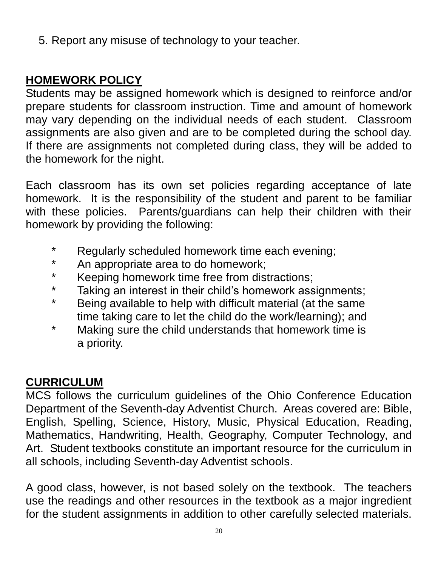5. Report any misuse of technology to your teacher.

## **HOMEWORK POLICY**

Students may be assigned homework which is designed to reinforce and/or prepare students for classroom instruction. Time and amount of homework may vary depending on the individual needs of each student. Classroom assignments are also given and are to be completed during the school day. If there are assignments not completed during class, they will be added to the homework for the night.

Each classroom has its own set policies regarding acceptance of late homework. It is the responsibility of the student and parent to be familiar with these policies. Parents/guardians can help their children with their homework by providing the following:

- \* Regularly scheduled homework time each evening;
- \* An appropriate area to do homework;
- \* Keeping homework time free from distractions;
- \* Taking an interest in their child's homework assignments;
- \* Being available to help with difficult material (at the same time taking care to let the child do the work/learning); and
- \* Making sure the child understands that homework time is a priority.

#### **CURRICULUM**

MCS follows the curriculum guidelines of the Ohio Conference Education Department of the Seventh-day Adventist Church. Areas covered are: Bible, English, Spelling, Science, History, Music, Physical Education, Reading, Mathematics, Handwriting, Health, Geography, Computer Technology, and Art. Student textbooks constitute an important resource for the curriculum in all schools, including Seventh-day Adventist schools.

A good class, however, is not based solely on the textbook. The teachers use the readings and other resources in the textbook as a major ingredient for the student assignments in addition to other carefully selected materials.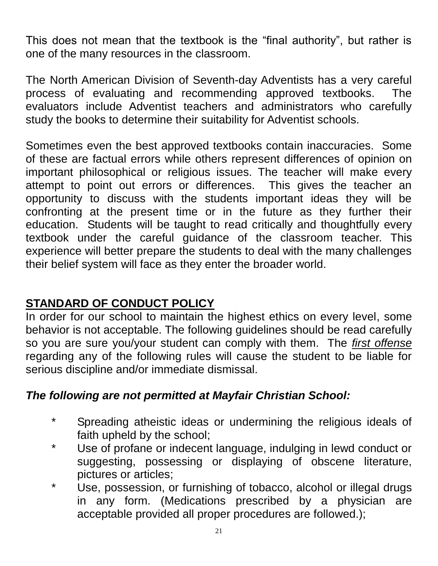This does not mean that the textbook is the "final authority", but rather is one of the many resources in the classroom.

The North American Division of Seventh-day Adventists has a very careful process of evaluating and recommending approved textbooks. The evaluators include Adventist teachers and administrators who carefully study the books to determine their suitability for Adventist schools.

Sometimes even the best approved textbooks contain inaccuracies. Some of these are factual errors while others represent differences of opinion on important philosophical or religious issues. The teacher will make every attempt to point out errors or differences. This gives the teacher an opportunity to discuss with the students important ideas they will be confronting at the present time or in the future as they further their education. Students will be taught to read critically and thoughtfully every textbook under the careful guidance of the classroom teacher. This experience will better prepare the students to deal with the many challenges their belief system will face as they enter the broader world.

## **STANDARD OF CONDUCT POLICY**

In order for our school to maintain the highest ethics on every level, some behavior is not acceptable. The following guidelines should be read carefully so you are sure you/your student can comply with them. The *first offense* regarding any of the following rules will cause the student to be liable for serious discipline and/or immediate dismissal.

#### *The following are not permitted at Mayfair Christian School:*

- \* Spreading atheistic ideas or undermining the religious ideals of faith upheld by the school;
- \* Use of profane or indecent language, indulging in lewd conduct or suggesting, possessing or displaying of obscene literature, pictures or articles;
- Use, possession, or furnishing of tobacco, alcohol or illegal drugs in any form. (Medications prescribed by a physician are acceptable provided all proper procedures are followed.);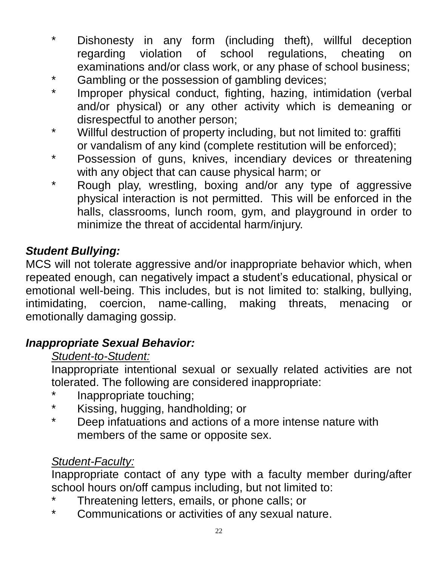- \* Dishonesty in any form (including theft), willful deception regarding violation of school regulations, cheating on examinations and/or class work, or any phase of school business;
- \* Gambling or the possession of gambling devices;
- \* Improper physical conduct, fighting, hazing, intimidation (verbal and/or physical) or any other activity which is demeaning or disrespectful to another person;
- \* Willful destruction of property including, but not limited to: graffiti or vandalism of any kind (complete restitution will be enforced);
- \* Possession of guns, knives, incendiary devices or threatening with any object that can cause physical harm; or
- \* Rough play, wrestling, boxing and/or any type of aggressive physical interaction is not permitted. This will be enforced in the halls, classrooms, lunch room, gym, and playground in order to minimize the threat of accidental harm/injury.

#### *Student Bullying:*

MCS will not tolerate aggressive and/or inappropriate behavior which, when repeated enough, can negatively impact a student's educational, physical or emotional well-being. This includes, but is not limited to: stalking, bullying, intimidating, coercion, name-calling, making threats, menacing or emotionally damaging gossip.

#### *Inappropriate Sexual Behavior:*

#### *Student-to-Student:*

Inappropriate intentional sexual or sexually related activities are not tolerated. The following are considered inappropriate:

- Inappropriate touching;
- \* Kissing, hugging, handholding; or
- \* Deep infatuations and actions of a more intense nature with members of the same or opposite sex.

#### *Student-Faculty:*

Inappropriate contact of any type with a faculty member during/after school hours on/off campus including, but not limited to:

- Threatening letters, emails, or phone calls; or
- \* Communications or activities of any sexual nature.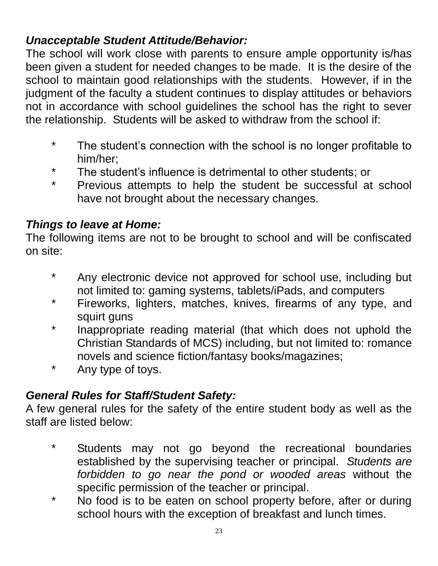## *Unacceptable Student Attitude/Behavior:*

The school will work close with parents to ensure ample opportunity is/has been given a student for needed changes to be made. It is the desire of the school to maintain good relationships with the students. However, if in the judgment of the faculty a student continues to display attitudes or behaviors not in accordance with school guidelines the school has the right to sever the relationship. Students will be asked to withdraw from the school if:

- \* The student's connection with the school is no longer profitable to him/her;
- \* The student's influence is detrimental to other students; or
- \* Previous attempts to help the student be successful at school have not brought about the necessary changes.

## *Things to leave at Home:*

The following items are not to be brought to school and will be confiscated on site:

- \* Any electronic device not approved for school use, including but not limited to: gaming systems, tablets/iPads, and computers
- \* Fireworks, lighters, matches, knives, firearms of any type, and squirt guns
- \* Inappropriate reading material (that which does not uphold the Christian Standards of MCS) including, but not limited to: romance novels and science fiction/fantasy books/magazines;
- \* Any type of toys.

## *General Rules for Staff/Student Safety:*

A few general rules for the safety of the entire student body as well as the staff are listed below:

- \* Students may not go beyond the recreational boundaries established by the supervising teacher or principal. *Students are forbidden to go near the pond or wooded areas* without the specific permission of the teacher or principal.
- \* No food is to be eaten on school property before, after or during school hours with the exception of breakfast and lunch times.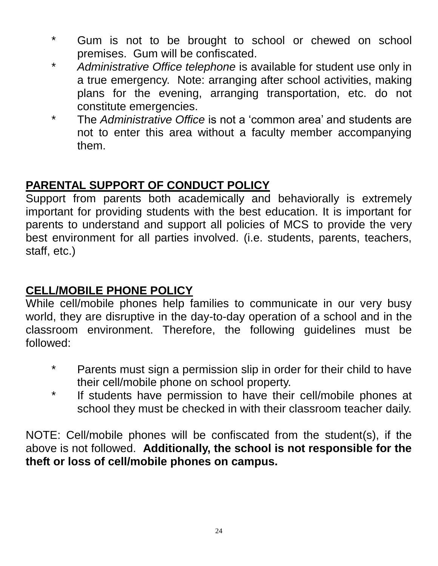- \* Gum is not to be brought to school or chewed on school premises. Gum will be confiscated.
- \* *Administrative Office telephone* is available for student use only in a true emergency. Note: arranging after school activities, making plans for the evening, arranging transportation, etc. do not constitute emergencies.
- \* The *Administrative Office* is not a 'common area' and students are not to enter this area without a faculty member accompanying them.

#### **PARENTAL SUPPORT OF CONDUCT POLICY**

Support from parents both academically and behaviorally is extremely important for providing students with the best education. It is important for parents to understand and support all policies of MCS to provide the very best environment for all parties involved. (i.e. students, parents, teachers, staff, etc.)

## **CELL/MOBILE PHONE POLICY**

While cell/mobile phones help families to communicate in our very busy world, they are disruptive in the day-to-day operation of a school and in the classroom environment. Therefore, the following guidelines must be followed:

- \* Parents must sign a permission slip in order for their child to have their cell/mobile phone on school property.
- \* If students have permission to have their cell/mobile phones at school they must be checked in with their classroom teacher daily.

NOTE: Cell/mobile phones will be confiscated from the student(s), if the above is not followed. **Additionally, the school is not responsible for the theft or loss of cell/mobile phones on campus.**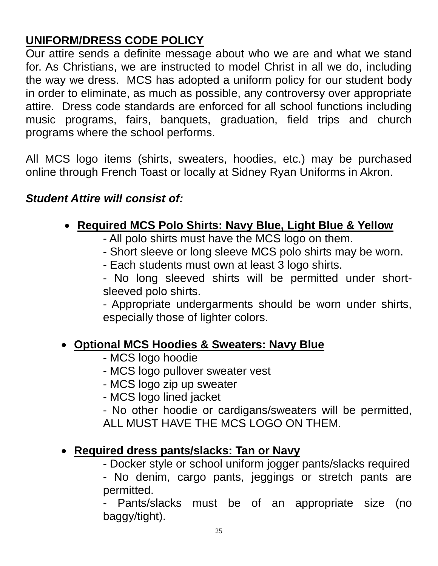## **UNIFORM/DRESS CODE POLICY**

Our attire sends a definite message about who we are and what we stand for. As Christians, we are instructed to model Christ in all we do, including the way we dress. MCS has adopted a uniform policy for our student body in order to eliminate, as much as possible, any controversy over appropriate attire. Dress code standards are enforced for all school functions including music programs, fairs, banquets, graduation, field trips and church programs where the school performs.

All MCS logo items (shirts, sweaters, hoodies, etc.) may be purchased online through French Toast or locally at Sidney Ryan Uniforms in Akron.

#### *Student Attire will consist of:*

## **Required MCS Polo Shirts: Navy Blue, Light Blue & Yellow**

- All polo shirts must have the MCS logo on them.
- Short sleeve or long sleeve MCS polo shirts may be worn.
- Each students must own at least 3 logo shirts.
- No long sleeved shirts will be permitted under shortsleeved polo shirts.

- Appropriate undergarments should be worn under shirts, especially those of lighter colors.

#### **Optional MCS Hoodies & Sweaters: Navy Blue**

- MCS logo hoodie
- MCS logo pullover sweater vest
- MCS logo zip up sweater
- MCS logo lined jacket

- No other hoodie or cardigans/sweaters will be permitted, ALL MUST HAVE THE MCS LOGO ON THEM.

#### **Required dress pants/slacks: Tan or Navy**

- Docker style or school uniform jogger pants/slacks required

- No denim, cargo pants, jeggings or stretch pants are permitted.

- Pants/slacks must be of an appropriate size (no baggy/tight).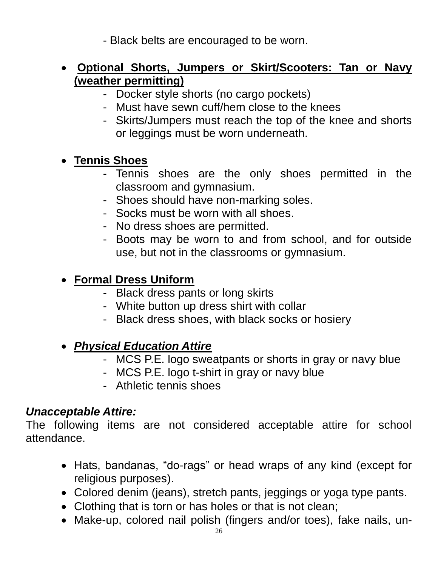- Black belts are encouraged to be worn.

#### **Optional Shorts, Jumpers or Skirt/Scooters: Tan or Navy (weather permitting)**

- Docker style shorts (no cargo pockets)
- Must have sewn cuff/hem close to the knees
- Skirts/Jumpers must reach the top of the knee and shorts or leggings must be worn underneath.

#### **Tennis Shoes**

- Tennis shoes are the only shoes permitted in the classroom and gymnasium.
- Shoes should have non-marking soles.
- Socks must be worn with all shoes.
- No dress shoes are permitted.
- Boots may be worn to and from school, and for outside use, but not in the classrooms or gymnasium.

## **Formal Dress Uniform**

- Black dress pants or long skirts
- White button up dress shirt with collar
- Black dress shoes, with black socks or hosiery

## *Physical Education Attire*

- MCS P.E. logo sweatpants or shorts in gray or navy blue
- MCS P.E. logo t-shirt in gray or navy blue
- Athletic tennis shoes

#### *Unacceptable Attire:*

The following items are not considered acceptable attire for school attendance.

- Hats, bandanas, "do-rags" or head wraps of any kind (except for religious purposes).
- Colored denim (jeans), stretch pants, jeggings or yoga type pants.
- Clothing that is torn or has holes or that is not clean;
- Make-up, colored nail polish (fingers and/or toes), fake nails, un-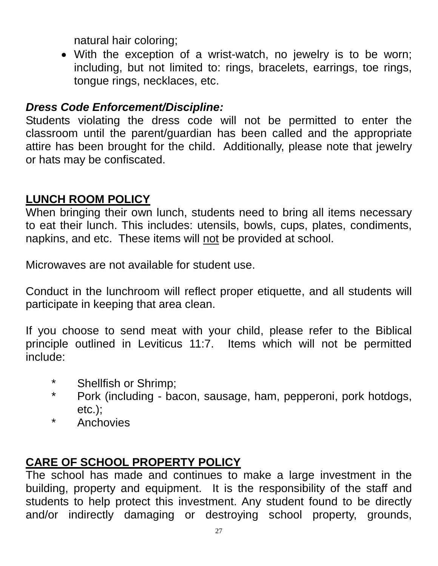natural hair coloring;

 With the exception of a wrist-watch, no jewelry is to be worn; including, but not limited to: rings, bracelets, earrings, toe rings, tongue rings, necklaces, etc.

#### *Dress Code Enforcement/Discipline:*

Students violating the dress code will not be permitted to enter the classroom until the parent/guardian has been called and the appropriate attire has been brought for the child. Additionally, please note that jewelry or hats may be confiscated.

#### **LUNCH ROOM POLICY**

When bringing their own lunch, students need to bring all items necessary to eat their lunch. This includes: utensils, bowls, cups, plates, condiments, napkins, and etc. These items will not be provided at school.

Microwaves are not available for student use.

Conduct in the lunchroom will reflect proper etiquette, and all students will participate in keeping that area clean.

If you choose to send meat with your child, please refer to the Biblical principle outlined in Leviticus 11:7. Items which will not be permitted include:

- \* Shellfish or Shrimp;
- \* Pork (including bacon, sausage, ham, pepperoni, pork hotdogs, etc.);
- \* Anchovies

## **CARE OF SCHOOL PROPERTY POLICY**

The school has made and continues to make a large investment in the building, property and equipment. It is the responsibility of the staff and students to help protect this investment. Any student found to be directly and/or indirectly damaging or destroying school property, grounds,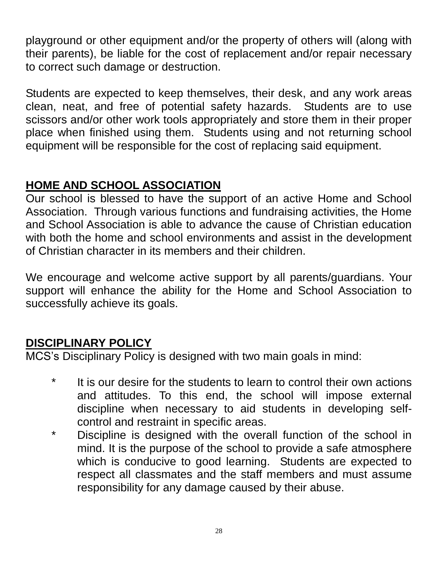playground or other equipment and/or the property of others will (along with their parents), be liable for the cost of replacement and/or repair necessary to correct such damage or destruction.

Students are expected to keep themselves, their desk, and any work areas clean, neat, and free of potential safety hazards. Students are to use scissors and/or other work tools appropriately and store them in their proper place when finished using them. Students using and not returning school equipment will be responsible for the cost of replacing said equipment.

## **HOME AND SCHOOL ASSOCIATION**

Our school is blessed to have the support of an active Home and School Association. Through various functions and fundraising activities, the Home and School Association is able to advance the cause of Christian education with both the home and school environments and assist in the development of Christian character in its members and their children.

We encourage and welcome active support by all parents/guardians. Your support will enhance the ability for the Home and School Association to successfully achieve its goals.

## **DISCIPLINARY POLICY**

MCS's Disciplinary Policy is designed with two main goals in mind:

- \* It is our desire for the students to learn to control their own actions and attitudes. To this end, the school will impose external discipline when necessary to aid students in developing selfcontrol and restraint in specific areas.
- \* Discipline is designed with the overall function of the school in mind. It is the purpose of the school to provide a safe atmosphere which is conducive to good learning. Students are expected to respect all classmates and the staff members and must assume responsibility for any damage caused by their abuse.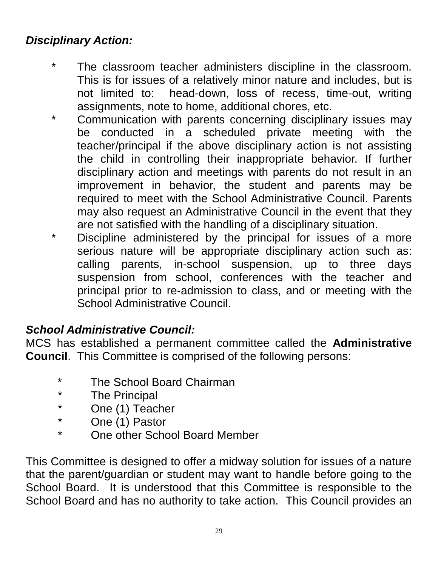## *Disciplinary Action:*

- \* The classroom teacher administers discipline in the classroom. This is for issues of a relatively minor nature and includes, but is not limited to: head-down, loss of recess, time-out, writing assignments, note to home, additional chores, etc.
- \* Communication with parents concerning disciplinary issues may be conducted in a scheduled private meeting with the teacher/principal if the above disciplinary action is not assisting the child in controlling their inappropriate behavior. If further disciplinary action and meetings with parents do not result in an improvement in behavior, the student and parents may be required to meet with the School Administrative Council. Parents may also request an Administrative Council in the event that they are not satisfied with the handling of a disciplinary situation.
- \* Discipline administered by the principal for issues of a more serious nature will be appropriate disciplinary action such as: calling parents, in-school suspension, up to three days suspension from school, conferences with the teacher and principal prior to re-admission to class, and or meeting with the School Administrative Council.

#### *School Administrative Council:*

MCS has established a permanent committee called the **Administrative Council**. This Committee is comprised of the following persons:

- \* The School Board Chairman
- \* The Principal
- \* One (1) Teacher
- One (1) Pastor
- One other School Board Member

This Committee is designed to offer a midway solution for issues of a nature that the parent/guardian or student may want to handle before going to the School Board. It is understood that this Committee is responsible to the School Board and has no authority to take action. This Council provides an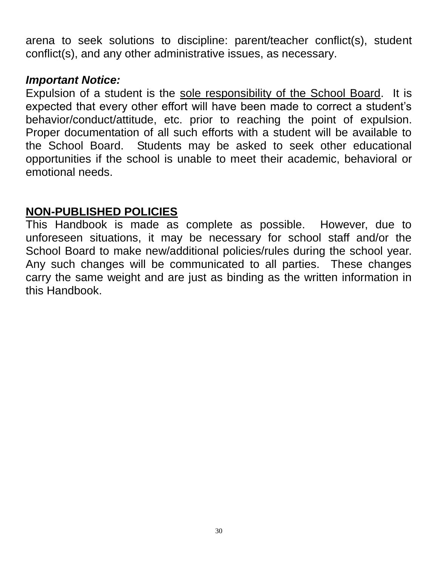arena to seek solutions to discipline: parent/teacher conflict(s), student conflict(s), and any other administrative issues, as necessary.

#### *Important Notice:*

Expulsion of a student is the sole responsibility of the School Board. It is expected that every other effort will have been made to correct a student's behavior/conduct/attitude, etc. prior to reaching the point of expulsion. Proper documentation of all such efforts with a student will be available to the School Board. Students may be asked to seek other educational opportunities if the school is unable to meet their academic, behavioral or emotional needs.

#### **NON-PUBLISHED POLICIES**

This Handbook is made as complete as possible. However, due to unforeseen situations, it may be necessary for school staff and/or the School Board to make new/additional policies/rules during the school year. Any such changes will be communicated to all parties. These changes carry the same weight and are just as binding as the written information in this Handbook.